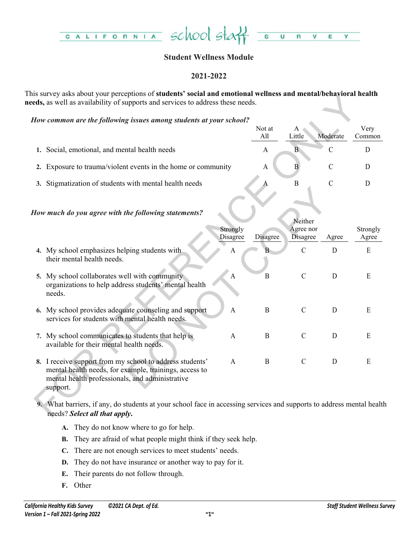

# **Student Wellness Module**

# **2021-2022**

This survey asks about your perceptions of **students' social and emotional wellness and mental/behavioral health needs,** as well as availability of supports and services to address these needs.

|                                                               | Not at |        |          | Very   |
|---------------------------------------------------------------|--------|--------|----------|--------|
|                                                               | All    | Little | Moderate | Common |
| 1. Social, emotional, and mental health needs                 | А      |        |          |        |
| 2. Exposure to trauma/violent events in the home or community |        |        |          |        |
| 3. Stigmatization of students with mental health needs        |        |        |          |        |

| is survey asks adout your perceptions of <b>students' social and emotional wenness and menta</b> l d <b>enavioral neatth</b><br>eds, as well as availability of supports and services to address these needs. |                      |               |                              |                |                   |
|---------------------------------------------------------------------------------------------------------------------------------------------------------------------------------------------------------------|----------------------|---------------|------------------------------|----------------|-------------------|
| How common are the following issues among students at your school?                                                                                                                                            |                      |               |                              |                |                   |
|                                                                                                                                                                                                               |                      | Not at<br>All | A<br>Little                  | Moderate       | Very<br>Common    |
| 1. Social, emotional, and mental health needs                                                                                                                                                                 |                      | A             | $\overline{B}$               | $\overline{C}$ | D                 |
| 2. Exposure to trauma/violent events in the home or community                                                                                                                                                 |                      | $\mathbf{A}$  | $\overline{B}$               | $\mathcal{C}$  | D                 |
| 3. Stigmatization of students with mental health needs                                                                                                                                                        |                      | Α             | $\, {\bf B}$                 | $\mathcal{C}$  | $\mathbf D$       |
| How much do you agree with the following statements?                                                                                                                                                          |                      |               | Neither                      |                |                   |
|                                                                                                                                                                                                               | Strongly<br>Disagree | Disagree      | Agree nor<br><b>Disagree</b> | Agree          | Strongly<br>Agree |
| 4. My school emphasizes helping students with<br>their mental health needs.                                                                                                                                   | A                    |               | $\mathcal{C}$                | D              | E                 |
| 5. My school collaborates well with community<br>organizations to help address students' mental health<br>needs.                                                                                              | $\mathbf{A}$         | B             | $\mathcal{C}$                | D              | E                 |
| 6. My school provides adequate counseling and support<br>services for students with mental health needs.                                                                                                      | $\mathbf{A}$         | $\, {\bf B}$  | $\mathcal{C}$                | D              | E                 |
| 7. My school communicates to students that help is<br>available for their mental health needs.                                                                                                                | $\mathbf{A}$         | $\mathbf{B}$  | $\mathcal{C}$                | D              | ${\bf E}$         |
| 8. I receive support from my school to address students'<br>mental health needs, for example, trainings, access to<br>mental health professionals, and administrative<br>support.                             | $\mathbf{A}$         | $\mathbf{B}$  | $\mathcal{C}$                | D              | E                 |
| 9. What barriers, if any, do students at your school face in accessing services and supports to address mental health<br>needs? Select all that apply.                                                        |                      |               |                              |                |                   |

- **A.** They do not know where to go for help.
- **B.** They are afraid of what people might think if they seek help.
- **C.** There are not enough services to meet students' needs.
- **D.** They do not have insurance or another way to pay for it.
- **E.** Their parents do not follow through.
- **F.** Other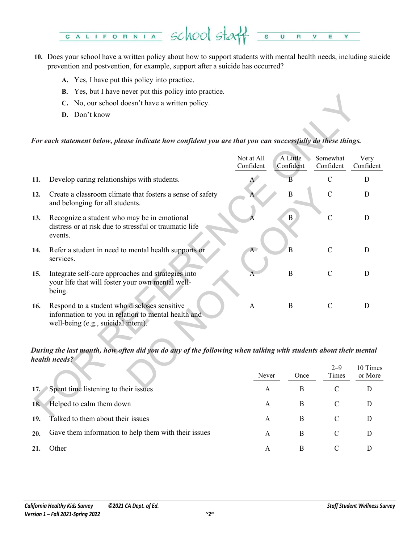

- **10.** Does your school have a written policy about how to support students with mental health needs, including suicide prevention and postvention, for example, support after a suicide has occurred?
	- **A.** Yes, I have put this policy into practice.
	- **B.** Yes, but I have never put this policy into practice.
	- **C.** No, our school doesn't have a written policy.
	- **D.** Don't know

## *For each statement below, please indicate how confident you are that you can successfully do these things.*

|        | C. No, our school doesn't have a written policy.                                                                                           |                         |                       |                       |                     |
|--------|--------------------------------------------------------------------------------------------------------------------------------------------|-------------------------|-----------------------|-----------------------|---------------------|
|        | D. Don't know                                                                                                                              |                         |                       |                       |                     |
|        |                                                                                                                                            |                         |                       |                       |                     |
|        | For each statement below, please indicate how confident you are that you can successfully do these things.                                 |                         |                       |                       |                     |
|        |                                                                                                                                            | Not at All<br>Confident | A Little<br>Confident | Somewhat<br>Confident | Very<br>Confident   |
| 11.    | Develop caring relationships with students.                                                                                                |                         | B                     | $\mathcal{C}$         | D                   |
| 12.    | Create a classroom climate that fosters a sense of safety<br>and belonging for all students.                                               |                         | $\overline{B}$        | $\overline{C}$        | D                   |
| 13.    | Recognize a student who may be in emotional<br>distress or at risk due to stressful or traumatic life<br>events.                           |                         | B                     | $\mathcal{C}$         | D                   |
| 14.    | Refer a student in need to mental health supports or<br>services.                                                                          | A                       | $\overline{B}$        | $\mathcal{C}$         | D                   |
| 15.    | Integrate self-care approaches and strategies into<br>your life that will foster your own mental well-<br>being.                           |                         | $\mathbf B$           | $\mathcal{C}$         | D                   |
| 16.    | Respond to a student who discloses sensitive<br>information to you in relation to mental health and<br>well-being (e.g., suicidal intent). | $\mathbf{A}$            | $\mathbf B$           | $\mathcal{C}$         | D                   |
|        | During the last month, how often did you do any of the following when talking with students about their mental<br>health needs?            |                         |                       |                       |                     |
|        |                                                                                                                                            | Never                   | Once                  | $2 - 9$<br>Times      | 10 Times<br>or More |
| 17.    | Spent time listening to their issues                                                                                                       | $\mathbf{A}$            | B                     | $\mathcal{C}$         | D                   |
| 18.    | Helped to calm them down                                                                                                                   | $\mathbf{A}$            | B                     | $\mathcal{C}$         | D                   |
| $\sim$ | ल्हा अन्य अनुसार अ                                                                                                                         |                         | n                     |                       |                     |

## *During the last month, how often did you do any of the following when talking with students about their mental health needs?*

|                                                             | Never | Once | $2 - 9$<br>Times | 10 Times<br>or More |
|-------------------------------------------------------------|-------|------|------------------|---------------------|
| 17. Spent time listening to their issues                    | А     | B    |                  |                     |
| Helped to calm them down<br>18.                             | А     | B    |                  |                     |
| Talked to them about their issues<br>19.                    | А     | B    |                  |                     |
| Gave them information to help them with their issues<br>20. | А     | B    | C                |                     |
| Other                                                       | Α     | B    |                  |                     |